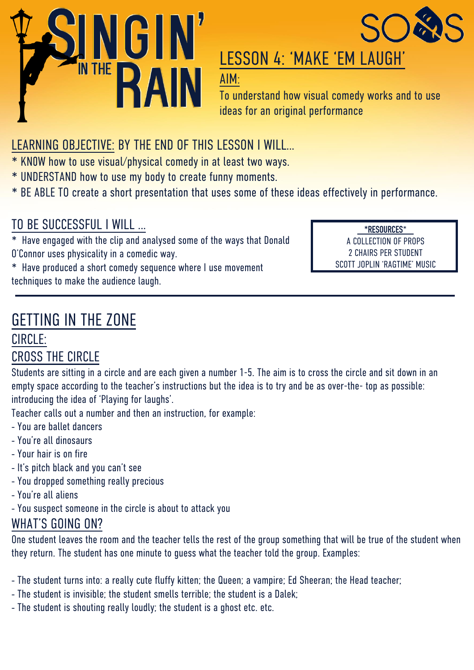



## LESSON 4: 'MAKE 'EM LAUGH'

AIM:

To understand how visual comedy works and to use ideas for an original performance

## LEARNING OBJECTIVE: BY THE END OF THIS LESSON I WILL…

\* KN0W how to use visual/physical comedy in at least two ways.

- \* UNDERSTAND how to use my body to create funny moments.
- \* BE ABLE TO create a short presentation that uses some of these ideas effectively in performance.

### TO BE SUCCESSFUL I WILL …

\* Have engaged with the clip and analysed some of the ways that Donald O'Connor uses physicality in a comedic way.

**\*RESOURCES**\* A COLLECTION OF PROPS 2 CHAIRS PER STUDENT SCOTT JOPLIN 'RAGTIME' MUSIC

\* Have produced a short comedy sequence where I use movement techniques to make the audience laugh.

# GETTING IN THE ZONE

#### CIRCLE: CROSS THE CIRCLE

Students are sitting in a circle and are each given a number 1-5. The aim is to cross the circle and sit down in an empty space according to the teacher's instructions but the idea is to try and be as over-the- top as possible: introducing the idea of 'Playing for laughs'.

Teacher calls out a number and then an instruction, for example:

- You are ballet dancers
- You're all dinosaurs
- Your hair is on fire
- It's pitch black and you can't see
- You dropped something really precious
- You're all aliens
- You suspect someone in the circle is about to attack you

#### WHAT'S GOING ON?

One student leaves the room and the teacher tells the rest of the group something that will be true of the student when they return. The student has one minute to guess what the teacher told the group. Examples:

- The student turns into: a really cute fluffy kitten; the Queen; a vampire; Ed Sheeran; the Head teacher;
- The student is invisible; the student smells terrible; the student is a Dalek;
- The student is shouting really loudly; the student is a ghost etc. etc.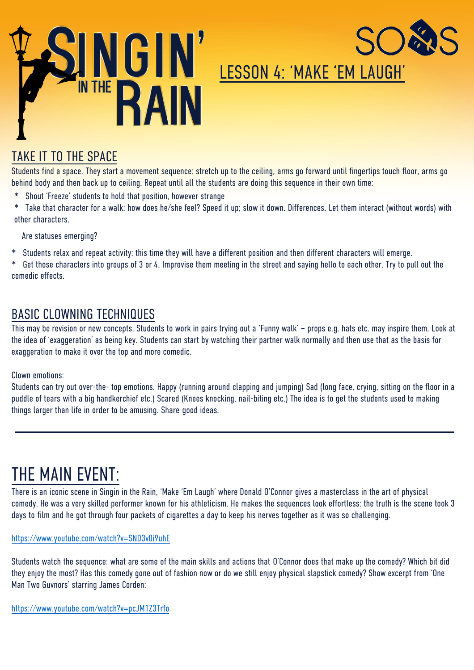

# LESSON 4: 'MAKE 'EM LAUGH'

#### TAKE IT TO THE SPACE

Students find a space. They start a movement sequence: stretch up to the ceiling, arms go forward until fingertips touch floor, arms go behind body and then back up to ceiling. Repeat until all the students are doing this sequence in their own time:

- Shout 'Freeze' students to hold that position, however strange
- \* Take that character for a walk: how does he/she feel? Speed it up; slow it down. Differences. Let them interact (without words) with other characters.

Are statuses emerging?

\* Students relax and repeat activity: this time they will have a different position and then different characters will emerge.

\* Get those characters into groups of 3 or 4. Improvise them meeting in the street and saying hello to each other. Try to pull out the comedic effects.

#### BASIC CLOWNING TECHNIQUES

This may be revision or new concepts. Students to work in pairs trying out a 'Funny walk' – props e.g. hats etc. may inspire them. Look at the idea of 'exaggeration' as being key. Students can start by watching their partner walk normally and then use that as the basis for exaggeration to make it over the top and more comedic.

Clown emotions:

Students can try out over-the- top emotions. Happy (running around clapping and jumping) Sad (long face, crying, sitting on the floor in a puddle of tears with a big handkerchief etc.) Scared (Knees knocking, nail-biting etc.) The idea is to get the students used to making things larger than life in order to be amusing. Share good ideas.

## THE MAIN EVENT:

There is an iconic scene in Singin in the Rain, 'Make 'Em Laugh' where Donald O'Connor gives a masterclass in the art of physical comedy. He was a very skilled performer known for his athleticism. He makes the sequences look effortless: the truth is the scene took 3 days to film and he got through four packets of cigarettes a day to keep his nerves together as it was so challenging.

#### https://www.youtube.com/watch?v=SND3v0i9uhE

Students watch the sequence: what are some of the main skills and actions that O'Connor does that make up the comedy? Which bit did they enjoy the most? Has this comedy gone out of fashion now or do we still enjoy physical slapstick comedy? Show excerpt from 'One Man Two Guvnors' starring James Corden:

#### https://www.youtube.com/watch?v=pcJM1Z3Trfo